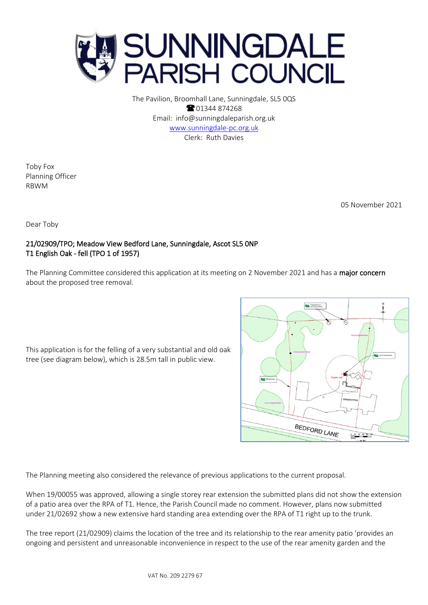

The Pavilion, Broomhall Lane, Sunningdale, SL5 0QS **8** 01344 874268 Email: info@sunningdaleparish.org.uk [www.sunningdale-pc.org.uk](http://www.sunningdale-pc.org.uk/) Clerk: Ruth Davies

Toby Fox Planning Officer RBWM

05 November 2021

Dear Toby

## 21/02909/TPO; Meadow View Bedford Lane, Sunningdale, Ascot SL5 0NP T1 English Oak - fell (TPO 1 of 1957)

The Planning Committee considered this application at its meeting on 2 November 2021 and has a major concern about the proposed tree removal.

This application is for the felling of a very substantial and old oak tree (see diagram below), which is 28.5m tall in public view.

SIA<sup>re</sup> BEDFORD LANE L,

The Planning meeting also considered the relevance of previous applications to the current proposal.

When 19/00055 was approved, allowing a single storey rear extension the submitted plans did not show the extension of a patio area over the RPA of T1. Hence, the Parish Council made no comment. However, plans now submitted under 21/02692 show a new extensive hard standing area extending over the RPA of T1 right up to the trunk.

The tree report (21/02909) claims the location of the tree and its relationship to the rear amenity patio 'provides an ongoing and persistent and unreasonable inconvenience in respect to the use of the rear amenity garden and the